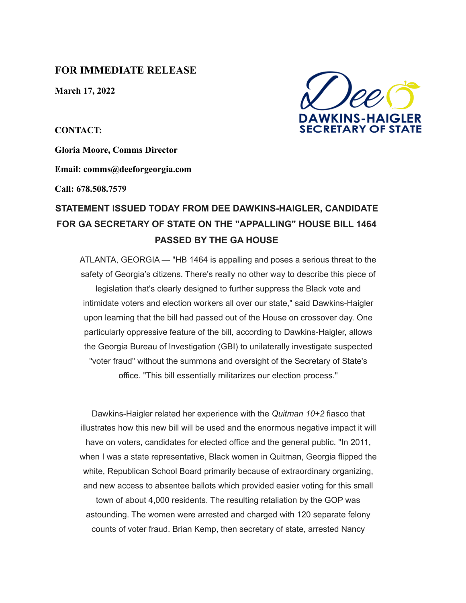## **FOR IMMEDIATE RELEASE**

**March 17, 2022**

**CONTACT:**

**Gloria Moore, Comms Director**

**Email: comms@deeforgeorgia.com**

**Call: 678.508.7579**

## **STATEMENT ISSUED TODAY FROM DEE DAWKINS-HAIGLER, CANDIDATE FOR GA SECRETARY OF STATE ON THE "APPALLING" HOUSE BILL 1464 PASSED BY THE GA HOUSE**

ATLANTA, GEORGIA — "HB 1464 is appalling and poses a serious threat to the safety of Georgia's citizens. There's really no other way to describe this piece of legislation that's clearly designed to further suppress the Black vote and intimidate voters and election workers all over our state," said Dawkins-Haigler upon learning that the bill had passed out of the House on crossover day. One particularly oppressive feature of the bill, according to Dawkins-Haigler, allows the Georgia Bureau of Investigation (GBI) to unilaterally investigate suspected "voter fraud" without the summons and oversight of the Secretary of State's office. "This bill essentially militarizes our election process."

Dawkins-Haigler related her experience with the *Quitman 10+2* fiasco that illustrates how this new bill will be used and the enormous negative impact it will have on voters, candidates for elected office and the general public. "In 2011, when I was a state representative, Black women in Quitman, Georgia flipped the white, Republican School Board primarily because of extraordinary organizing, and new access to absentee ballots which provided easier voting for this small town of about 4,000 residents. The resulting retaliation by the GOP was

astounding. The women were arrested and charged with 120 separate felony counts of voter fraud. Brian Kemp, then secretary of state, arrested Nancy